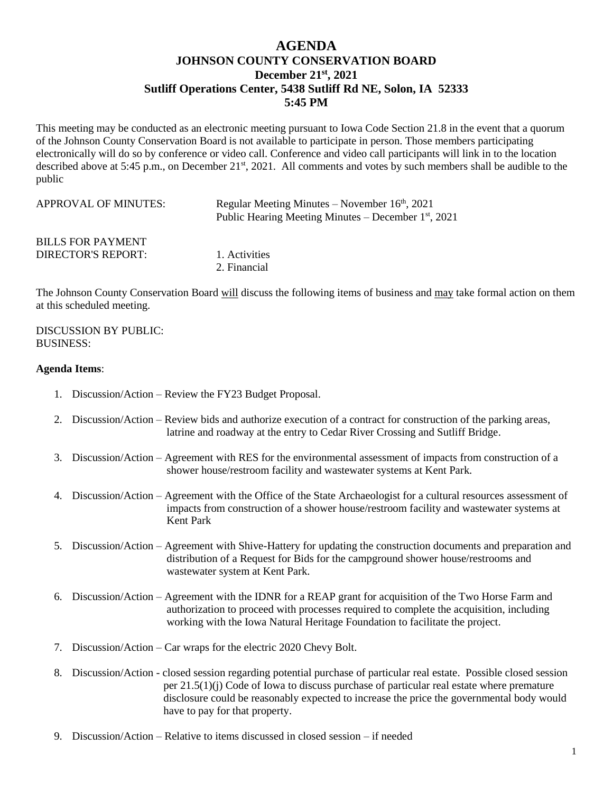## **AGENDA JOHNSON COUNTY CONSERVATION BOARD December 21st , 2021 Sutliff Operations Center, 5438 Sutliff Rd NE, Solon, IA 52333 5:45 PM**

This meeting may be conducted as an electronic meeting pursuant to Iowa Code Section 21.8 in the event that a quorum of the Johnson County Conservation Board is not available to participate in person. Those members participating electronically will do so by conference or video call. Conference and video call participants will link in to the location described above at 5:45 p.m., on December 21<sup>st</sup>, 2021. All comments and votes by such members shall be audible to the public

| APPROVAL OF MINUTES:      | Regular Meeting Minutes – November $16th$ , 2021<br>Public Hearing Meeting Minutes – December $1st$ , 2021 |
|---------------------------|------------------------------------------------------------------------------------------------------------|
| <b>BILLS FOR PAYMENT</b>  | 1. Activities                                                                                              |
| <b>DIRECTOR'S REPORT:</b> | 2. Financial                                                                                               |

The Johnson County Conservation Board will discuss the following items of business and may take formal action on them at this scheduled meeting.

## DISCUSSION BY PUBLIC: BUSINESS:

## **Agenda Items**:

- 1. Discussion/Action Review the FY23 Budget Proposal.
- 2. Discussion/Action Review bids and authorize execution of a contract for construction of the parking areas, latrine and roadway at the entry to Cedar River Crossing and Sutliff Bridge.
- 3. Discussion/Action Agreement with RES for the environmental assessment of impacts from construction of a shower house/restroom facility and wastewater systems at Kent Park.
- 4. Discussion/Action Agreement with the Office of the State Archaeologist for a cultural resources assessment of impacts from construction of a shower house/restroom facility and wastewater systems at Kent Park
- 5. Discussion/Action Agreement with Shive-Hattery for updating the construction documents and preparation and distribution of a Request for Bids for the campground shower house/restrooms and wastewater system at Kent Park.
- 6. Discussion/Action Agreement with the IDNR for a REAP grant for acquisition of the Two Horse Farm and authorization to proceed with processes required to complete the acquisition, including working with the Iowa Natural Heritage Foundation to facilitate the project.
- 7. Discussion/Action Car wraps for the electric 2020 Chevy Bolt.
- 8. Discussion/Action closed session regarding potential purchase of particular real estate. Possible closed session per 21.5(1)(j) Code of Iowa to discuss purchase of particular real estate where premature disclosure could be reasonably expected to increase the price the governmental body would have to pay for that property.
- 9. Discussion/Action Relative to items discussed in closed session if needed